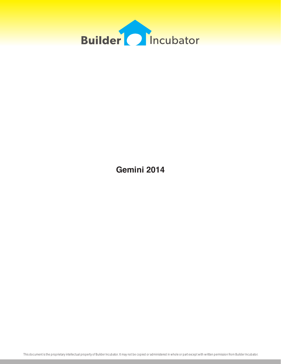

**Gemini 2014**

This document is the proprietary intellectual property of Builder Incubator. It may not be copied or administered in whole or part except with written permission from Builder Incubator.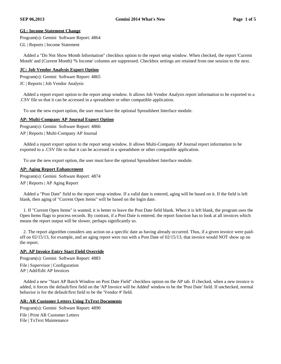# **GL: Income Statement Change**

Program(s): Gemini Software Report: 4864

GL | Reports | Income Statement

Added a "Do Not Show Month Information" checkbox option to the report setup window. When checked, the report 'Current Month' and (Current Month) '% Income' columns are suppressed. Checkbox settings are retained from one session to the next.

# **JC: Job Vendor Analysis Export Option**

Program(s): Gemini Software Report: 4865 JC | Reports | Job Vendor Analysis

Added a report export option to the report setup window. It allows Job Vendor Analysis report information to be exported to a .CSV file so that it can be accessed in a spreadsheet or other compatible application.

To use the new export option, the user must have the optional Spreadsheet Interface module.

#### **AP: Multi-Company AP Journal Export Option**

Program(s): Gemini Software Report: 4866 AP | Reports | Multi-Company AP Journal

Added a report export option to the report setup window. It allows Multi-Company AP Journal report information to be exported to a .CSV file so that it can be accessed in a spreadsheet or other compatible application.

To use the new export option, the user must have the optional Spreadsheet Interface module.

# **AP: Aging Report Enhancement**

Program(s): Gemini Software Report: 4874

AP | Reports | AP Aging Report

Added a "Post Date" field to the report setup window. If a valid date is entered, aging will be based on it. If the field is left blank, then aging of "Current Open Items" will be based on the login date.

1. If "Current Open Items" is wanted, it is better to leave the Post Date field blank. When it is left blank, the program uses the Open Items flags to process records. By contrast, if a Post Date is entered, the report function has to look at all invoices which means the report output will be slower, perhaps significantly so.

2. The report algorithm considers any action on a specific date as having already occurred. Thus, if a given invoice were paidoff on 02/15/13, for example, and an aging report were run with a Post Date of 02/15/13, that invoice would NOT show up on the report.

# **AP: AP Invoice Entry Start Field Override**

Program(s): Gemini Software Report: 4883

File | Supervisor | Configuration

AP | Add/Edit AP Invoices

Added a new "Start AP Batch Window on Post Date Field" checkbox option on the AP tab. If checked, when a new invoice is added, it forces the default/first field on the 'AP Invoice will be Added' window to be the 'Post Date' field. If unchecked, normal behavior is for the default/first field to be the 'Vendor #' field.

# **AR: AR Customer Letters Using TxText Documents**

Program(s): Gemini Software Report: 4890 File | Print AR Customer Letters File | TxText Maintenance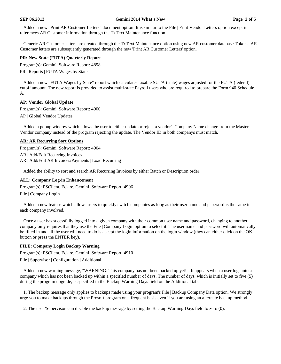#### **SEP 06,2013 Gemini 2014 What's New Page 2 of 5**

Added a new "Print AR Customer Letters" document option. It is similar to the File | Print Vendor Letters option except it references AR Customer information through the TxText Maintenance function.

Generic AR Customer letters are created through the TxText Maintenance option using new AR customer database Tokens. AR Customer letters are subsequently generated through the new 'Print AR Customer Letters' option.

#### **PR: New State (FUTA) Quarterly Report**

Program(s): Gemini Software Report: 4898 PR | Reports | FUTA Wages by State

Added a new "FUTA Wages by State" report which calculates taxable SUTA (state) wages adjusted for the FUTA (federal) cutoff amount. The new report is provided to assist multi-state Payroll users who are required to prepare the Form 940 Schedule A.

#### **AP: Vendor Global Update**

Program(s): Gemini Software Report: 4900

AP | Global Vendor Updates

Added a popup window which allows the user to either update or reject a vendor's Company Name change from the Master Vendor company instead of the program rejecting the update. The Vendor ID in both companys must match.

#### **AR: AR Recurring Sort Options**

Program(s): Gemini Software Report: 4904

AR | Add/Edit Recurring Invoices

AR | Add/Edit AR Invoices/Payments | Load Recurring

Added the ability to sort and search AR Recurring Invoices by either Batch or Description order.

#### **ALL: Company Log-in Enhancement**

Program(s): PSClient, Eclare, Gemini Software Report: 4906

File | Company Login

Added a new feature which allows users to quickly switch companies as long as their user name and password is the same in each company involved.

Once a user has sucessfully logged into a given company with their common user name and password, changing to another company only requires that they use the File | Company Login option to select it. The user name and password will automatically be filled in and all the user will need to do is accept the login information on the login window (they can either click on the OK button or press the ENTER key).

#### **FILE: Company Login Backup Warning**

Program(s): PSClient, Eclare, Gemini Software Report: 4910

File | Supervisor | Configuration | Additional

Added a new warning message, "WARNING: This company has not been backed up yet!". It appears when a user logs into a company which has not been backed up within a specified number of days. The number of days, which is initially set to five (5) during the program upgrade, is specified in the Backup Warning Days field on the Additional tab.

1. The backup message only applies to backups made using your program's File | Backup Company Data option. We strongly urge you to make backups through the Prosoft program on a frequent basis even if you are using an alternate backup method.

2. The user 'Supervisor' can disable the backup message by setting the Backup Warning Days field to zero (0).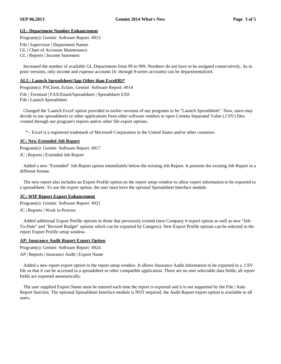# **GL: Department Number Enhancement**

Program(s): Gemini Software Report: 4913

File | Supervisor | Department Names

GL | Chart of Accounts Maintenance

GL | Reports | Income Statement

Increased the number of available GL Departments from 99 to 999. Numbers do not have to be assigned consecutively. As in prior versions, only income and expense accounts (4- through 9-series accounts) can be departmentalized.

#### **ALL: Launch Spreadsheet/App Other than Excel(R)\***

Program(s): PSClient, Eclare, Gemini Software Report: 4914

File | Terminal | FAX/Email/Spreadsheet | Spreadsheet EXE

File | Launch Spreadsheet

Changed the 'Launch Excel' option provided in earlier versions of our programs to be "Launch Spreadsheet". Now, users may decide to use spreadsheets or other applications from other software vendors to open Comma Separated Value (.CSV) files created through our program's reports and/or other file export options.

\* - Excel is a registered trademark of Microsoft Corporation in the United States and/or other countries.

#### **JC: New Extended Job Report**

Program(s): Gemini Software Report: 4917

JC | Reports | Extended Job Report

Added a new "Extended" Job Report option immediately below the existing Job Report. It presents the existing Job Report in a different format.

The new report also includes an Export Profile option on the report setup window to allow report information to be exported to a spreadsheet. To use the export option, the user must have the optional Spreadsheet Interface module.

# **JC: WIP Report Export Enhancement**

Program(s): Gemini Software Report: 4921

JC | Reports | Work in Process

Added additional Export Profile options to those that previously existed (new Company # export option as well as new "Job-To-Date" and "Revised Budget" options which can be exported by Category). New Export Profile options can be selected in the report Export Profile setup window.

# **AP: Insurance Audit Report Export Option**

Program(s): Gemini Software Report: 4924

AP | Reports | Insurance Audit | Export Name

Added a new report export option to the report setup window. It allows Insurance Audit information to be exported to a .CSV file so that it can be accessed in a spreadsheet or other compatible application. There are no user selectable data fields; all report fields are exported automatically.

The user supplied Export Name must be entered each time the report is exported and it is not supported by the File | Auto Report function. The optional Spreadsheet Interface module is NOT required, the Audit Report export option is available to all users.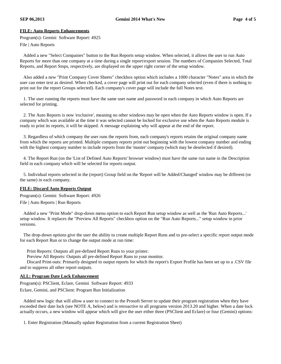# **FILE: Auto Reports Enhancements**

Program(s): Gemini Software Report: 4925

File | Auto Reports

Added a new "Select Companies" button to the Run Reports setup window. When selected, it allows the user to run Auto Reports for more than one company at a time during a single report/export session. The numbers of Companies Selected, Total Reports, and Report Stops, respectively, are displayed on the upper right corner of the setup window.

Also added a new "Print Company Cover Sheets" checkbox option which includes a 1000 character "Notes" area in which the user can enter text as desired. When checked, a cover page will print out for each company selected (even if there is nothing to print out for the report Groups selected). Each company's cover page will include the full Notes text.

1. The user running the reports must have the same user name and password in each company in which Auto Reports are selected for printing.

2. The Auto Reports is now 'exclusive', meaning no other windows may be open when the Auto Reports window is open. If a company which was available at the time it was selected cannot be locked for exclusive use when the Auto Reports module is ready to print its reports, it will be skipped. A message explaining why will appear at the end of the report.

3. Regardless of which company the user runs the reports from, each company's reports retains the original company name from which the reports are printed. Multiple company reports print out beginning with the lowest company number and ending with the highest company number to include reports from the 'master' company (which may be deselected if desired).

4. The Report Run (on the 'List of Defined Auto Reports' browser window) must have the same run name in the Description field in each company which will be selected for reports output.

5. Individual reports selected in the (report) Group field on the 'Report will be Added/Changed' window may be different (or the same) in each company.

# **FILE: Discard Auto Reports Output**

Program(s): Gemini Software Report: 4926

File | Auto Reports | Run Reports

Added a new "Print Mode" drop-down menu option to each Report Run setup window as well as the 'Run Auto Reports...' setup window. It replaces the "Preview All Reports" checkbox option on the "Run Auto Reports..." setup window in prior versions.

The drop-down options give the user the ability to create multiple Report Runs and to pre-select a specific report output mode for each Report Run or to change the output mode at run time:

Print Reports: Outputs all pre-defined Report Runs to your printer.

Preview All Reports: Outputs all pre-defined Report Runs to your monitor.

Discard Print-outs: Primarily designed to output reports for which the report's Export Profile has been set up to a .CSV file and to suppress all other report outputs.

# **ALL: Program Date Lock Enhancement**

Program(s): PSClient, Eclare, Gemini Software Report: 4933 Eclare, Gemini, and PSClient: Program Run Initialization

Added new logic that will allow a user to connect to the Prosoft Server to update their program registration when they have exceeded their date lock (see NOTE A, below) and is retroactive to all programs version 2013.20 and higher. When a date lock actually occurs, a new window will appear which will give the user either three (PSClient and Eclare) or four (Gemini) options:

1. Enter Registration (Manually update Registration from a current Registration Sheet)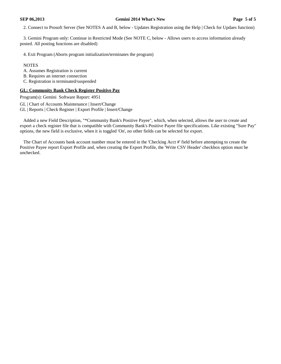2. Connect to Prosoft Server (See NOTES A and B, below - Updates Registration using the Help | Check for Updaes function)

3. Gemini Program only: Continue in Restricted Mode (See NOTE C, below - Allows users to access information already posted. All posting functions are disabled)

4. Exit Program (Aborts program initialization/terminates the program)

#### NOTES

- A. Assumes Registration is current
- B. Requires an internet connection
- C. Registration is terminated/suspended

#### **GL: Community Bank Check Register Positive Pay**

Program(s): Gemini Software Report: 4951

- GL | Chart of Accounts Maintenance | Insert/Change
- GL | Reports | Check Register | Export Profile | Insert/Change

Added a new Field Description, "\*Community Bank's Positive Payee", which, when selected, allows the user to create and export a check register file that is compatible with Community Bank's Positive Payee file specifications. Like existing "Sure Pay" options, the new field is exclusive, when it is toggled 'On', no other fields can be selected for export.

The Chart of Accounts bank account number must be entered in the 'Checking Acct #' field before attempting to create the Positive Payee report Export Profile and, when creating the Export Profile, the 'Write CSV Header' checkbox option must be unchecked.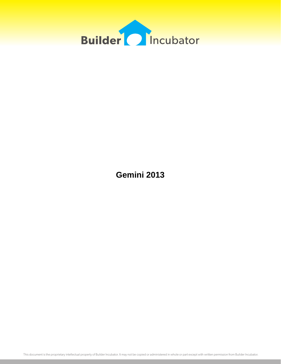

**Gemini 2013**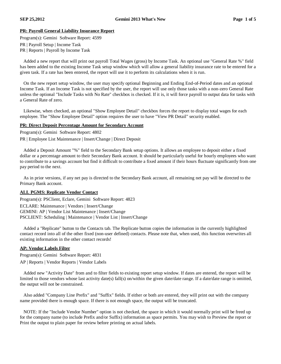# **PR: Payroll General Liability Insurance Report**

Program(s): Gemini Software Report: 4599

PR | Payroll Setup | Income Task

PR | Reports | Payroll by Income Task

Added a new report that will print out payroll Total Wages (gross) by Income Task. An optional use "General Rate %" field has been added to the existing Income Task setup window which will allow a general liability insurance rate to be entered for a given task. If a rate has been entered, the report will use it to perform its calculations when it is run.

On the new report setup window, the user may specify optional Beginning and Ending End-of-Period dates and an optional Income Task. If an Income Task is not specified by the user, the report will use only those tasks with a non-zero General Rate unless the optional "Include Tasks with No Rate" checkbox is checked. If it is, it will force payroll to output data for tasks with a General Rate of zero.

Likewise, when checked, an optional "Show Employee Detail" checkbox forces the report to display total wages for each employee. The "Show Employee Detail" option requires the user to have "View PR Detail" security enabled.

#### **PR: Direct Deposit Percentage Amount for Secondary Account**

Program(s): Gemini Software Report: 4802

PR | Employee List Maintenance | Insert/Change | Direct Deposit

Added a Deposit Amount "%" field to the Secondary Bank setup options. It allows an employee to deposit either a fixed dollar or a percentage amount to their Secondary Bank account. It should be particularly useful for hourly employees who want to contribute to a savings account but find it difficult to contribute a fixed amount if their hours fluctuate significantly from one pay period to the next.

As in prior versions, if any net pay is directed to the Secondary Bank account, all remaining net pay will be directed to the Primary Bank account.

# **ALL PGMS: Replicate Vendor Contact**

Program(s): PSClient, Eclare, Gemini Software Report: 4823 ECLARE: Maintenance | Vendors | Insert/Change GEMINI: AP | Vendor List Maintenance | Insert/Change PSCLIENT: Scheduling | Maintenance | Vendor List | Insert/Change

Added a "Replicate" button to the Contacts tab. The Replicate button copies the information in the currently highlighted contact record into all of the other fixed (non-user defined) contacts. Please note that, when used, this function overwrites all existing information in the other contact records!

# **AP: Vendor Labels Filter**

Program(s): Gemini Software Report: 4831 AP | Reports | Vendor Reports | Vendor Labels

Added new "Activity Date" from and to filter fields to existing report setup window. If dates are entered, the report will be limited to those vendors whose last activity date(s) fall(s) on/within the given date/date range. If a date/date range is omitted, the output will not be constrained.

Also added "Company Line Prefix" and "Suffix" fields. If either or both are entered, they will print out with the company name provided there is enough space. If there is not enough space, the output will be truncated.

NOTE: If the "Include Vendor Number" option is not checked, the space in which it would normally print will be freed up for the company name (to include Prefix and/or Suffix) information as space permits. You may wish to Preview the report or Print the output to plain paper for review before printing on actual labels.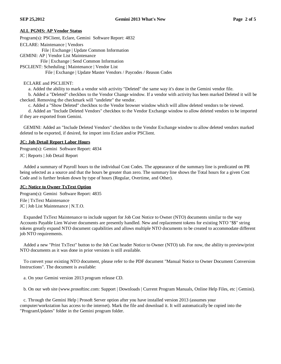# **ALL PGMS: AP Vendor Status**

Program(s): PSClient, Eclare, Gemini Software Report: 4832

ECLARE: Maintenance | Vendors

File | Exchange | Update Common Information

GEMINI: AP | Vendor List Maintenance

File | Exchange | Send Common Information

PSCLIENT: Scheduling | Maintenance | Vendor List

File | Exchange | Update Master Vendors / Paycodes / Reason Codes

#### ECLARE and PSCLIENT:

a. Added the ability to mark a vendor with activity "Deleted" the same way it's done in the Gemini vendor file.

b. Added a "Deleted" checkbox to the Vendor Change window. If a vendor with activity has been marked Deleted it will be checked. Removing the checkmark will "undelete" the vendor.

c. Added a "Show Deleted" checkbox to the Vendor browser window which will allow deleted vendors to be viewed.

d. Added an "Include Deleted Vendors" checkbox to the Vendor Exchange window to allow deleted vendors to be imported if they are exported from Gemini.

GEMINI: Added an "Include Deleted Vendors" checkbox to the Vendor Exchange window to allow deleted vendors marked deleted to be exported, if desired, for import into Eclare and/or PSClient.

# **JC: Job Detail Report Labor Hours**

Program(s): Gemini Software Report: 4834 JC | Reports | Job Detail Report

Added a summary of Payroll hours to the individual Cost Codes. The appearance of the summary line is predicated on PR being selected as a source and that the hours be greater than zero. The summary line shows the Total hours for a given Cost Code and is further broken down by type of hours (Regular, Overtime, and Other).

# **JC: Notice to Owner TxText Option**

Program(s): Gemini Software Report: 4835 File | TxText Maintenance JC | Job List Maintenance | N.T.O.

Expanded TxText Maintenance to include support for Job Cost Notice to Owner (NTO) documents similar to the way Accounts Payable Lien Waiver documents are presently handled. New and replacement tokens for existing NTO "\$\$" string tokens greatly expand NTO document capabilities and allows multiple NTO documents to be created to accommodate different job NTO requirements.

Added a new "Print TxText" button to the Job Cost header Notice to Owner (NTO) tab. For now, the ability to preview/print NTO documents as it was done in prior versions is still available.

To convert your existing NTO document, please refer to the PDF document "Manual Notice to Owner Document Conversion Instructions". The document is available:

a. On your Gemini version 2013 program release CD.

b. On our web site (www.prosoftinc.com: Support | Downloads | Current Program Manuals, Online Help Files, etc | Gemini).

c. Through the Gemini Help | Prosoft Server option after you have installed version 2013 (assumes your computer/workstation has access to the internet). Mark the file and download it. It will automatically be copied into the "ProgramUpdates" folder in the Gemini program folder.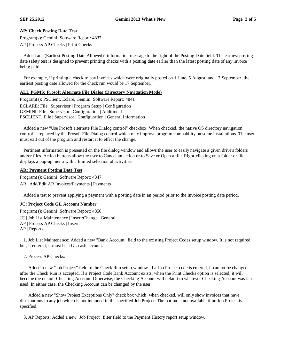# **AP: Check Posting Date Test**

- Program(s): Gemini Software Report: 4837
- AP | Process AP Checks | Print Checks

Added an "(Earliest Posting Date Allowed)" information message to the right of the Posting Date field. The earliest posting date safety test is designed to prevent printing checks with a posting date earlier than the latest posting date of any invoice being paid.

For example, if printing a check to pay invoices which were originally posted on 1 June, 5 August, and 17 September, the earliest posting date allowed for the check run would be 17 September.

# **ALL PGMS: Prosoft Alternate File Dialog (Directory Navigation Mode)**

Program(s): PSClient, Eclare, Gemini Software Report: 4841 ECLARE: File | Supervisor | Program Setup | Configuration GEMINI: File | Supervisor | Configuration | Additional PSCLIENT: File | Supervisor | Configuration | General Information

Added a new "Use Prosoft alternate File Dialog control" checkbox. When checked, the native OS directory navigation control is replaced by the Prosoft File Dialog control which may improve program compability on some installations. The user must exit out of the program and restart it to effect the change.

Pertinent information is presented on the file dialog window and allows the user to easily navigate a given drive's folders and/or files. Action buttons allow the user to Cancel an action or to Save or Open a file. Right-clicking on a folder or file displays a pop-up menu with a limited selection of activities.

# **AR: Payment Posting Date Test**

Program(s): Gemini Software Report: 4847 AR | Add/Edit AR Invoices/Payments | Payments

Added a test to prevent applying a payment with a posting date in an period prior to the invoice posting date period.

# **JC: Project Code GL Account Number**

Program(s): Gemini Software Report: 4850

JC | Job List Maintenance | Insert/Change | General

- AP | Process AP Checks | Insert
- AP | Reports

1. Job List Maintenance: Added a new "Bank Account" field to the existing Project Codes setup window. It is not required but, if entered, it must be a GL cash account.

2. Process AP Checks:

Added a new "Job Project" field to the Check Run setup window. If a Job Project code is entered, it cannot be changed after the Check Run is accepted. If a Project Code Bank Account exists, when the Print Checks option is selected, it will become the default Checking Account. Otherwise, the Checking Account will default to whatever Checking Account was last used. In either case, the Checking Account can be changed by the user.

Added a new "Show Project Exceptions Only" check box which, when checked, will only show invoices that have distributions to any job which is not included in the specified Job Project. The option is not available if no Job Project is specified.

3. AP Reports: Added a new "Job Project" filter field to the Payment History report setup window.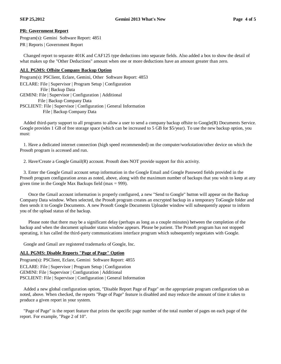# **PR: Government Report**

Program(s): Gemini Software Report: 4851

PR | Reports | Government Report

Changed report to separate 401K and CAF125 type deductions into separate fields. Also added a box to show the detail of what makes up the "Other Deductions" amount when one or more deductions have an amount greater than zero.

# **ALL PGMS: Offsite Company Backup Option**

Program(s): PSClient, Eclare, Gemini, Other Software Report: 4853 ECLARE: File | Supervisor | Program Setup | Configuration File | Backup Data

GEMINI: File | Supervisor | Configuration | Additional File | Backup Company Data PSCLIENT: File | Supervisor | Configuration | General Information File | Backup Company Data

Added third-party support to all programs to allow a user to send a company backup offsite to Google(R) Documents Service. Google provides 1 GB of free storage space (which can be increased to 5 GB for \$5/year). To use the new backup option, you must:

1. Have a dedicated internet connection (high speed recommended) on the computer/workstation/other device on which the Prosoft program is accessed and run.

2. Have/Create a Google Gmail(R) account. Prosoft does NOT provide support for this activity.

3. Enter the Google Gmail account setup information in the Google Email and Google Password fields provided in the Prosoft program configuration areas as noted, above, along with the maximum number of backups that you wish to keep at any given time in the Google Max Backups field (max  $= 999$ ).

Once the Gmail account information is properly configured, a new "Send to Google" button will appear on the Backup Company Data window. When selected, the Prosoft program creates an encrypted backup in a temporary ToGoogle folder and then sends it to Google Documents. A new Prosoft Google Documents Uploader window will subsequently appear to inform you of the upload status of the backup.

Please note that there may be a significant delay (perhaps as long as a couple minutes) between the completion of the backup and when the document uploader status window appears. Please be patient. The Prosoft program has not stopped operating, it has called the third-party communications interface program which subsequently negotiates with Google.

Google and Gmail are registered trademarks of Google, Inc.

# **ALL PGMS: Disable Reports "Page of Page" Option**

Program(s): PSClient, Eclare, Gemini Software Report: 4855 ECLARE: File | Supervisor | Program Setup | Configuration GEMINI: File | Supervisor | Configuration | Additional PSCLIENT: File | Supervisor | Configuration | General Information

Added a new global configuration option, "Disable Report Page of Page" on the appropriate program configuration tab as noted, above. When checked, the reports "Page of Page" feature is disabled and may reduce the amount of time it takes to produce a given report in your system.

"Page of Page" is the report feature that prints the specific page number of the total number of pages on each page of the report. For example, "Page 2 of 10".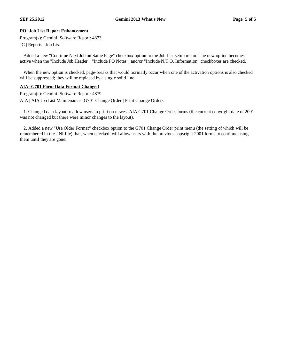# **PO: Job List Report Enhancement**

Program(s): Gemini Software Report: 4873

JC | Reports | Job List

Added a new "Continue Next Job on Same Page" checkbox option to the Job List setup menu. The new option becomes active when the "Include Job Header", "Include PO Notes", and/or "Include N.T.O. Information" checkboxes are checked.

When the new option is checked, page-breaks that would normally occur when one of the activation options is also checked will be suppressed; they will be replaced by a single solid line.

#### **AIA: G701 Form Data Format Changed**

Program(s): Gemini Software Report: 4879 AIA | AIA Job List Maintenance | G701 Change Order | Print Change Orders

1. Changed data layout to allow users to print on newest AIA G701 Change Order forms (the current copyright date of 2001 was not changed but there were minor changes to the layout).

2. Added a new "Use Older Format" checkbox option to the G701 Change Order print menu (the setting of which will be remembered in the .INI file) that, when checked, will allow users with the previous copyright 2001 forms to continue using them until they are gone.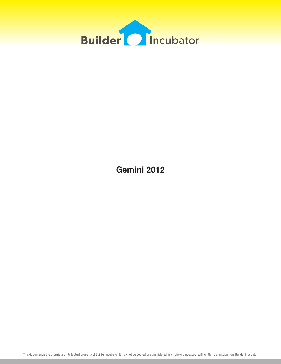

**Gemini 2012**

This document is the proprietary intellectual property of Builder Incubator. It may not be copied or administered in whole or part except with written permission from Builder Incubator.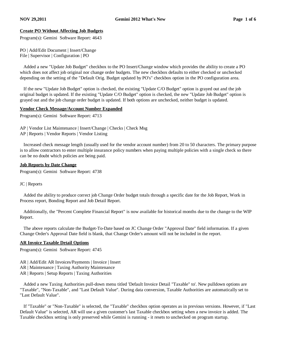# **Create PO Without Affecting Job Budgets**

Program(s): Gemini Software Report: 4643

PO | Add/Edit Document | Insert/Change File | Supervisor | Configuration | PO

 Added a new "Update Job Budget" checkbox to the PO Insert/Change window which provides the ability to create a PO which does not affect job original nor change order budgets. The new checkbox defaults to either checked or unchecked depending on the setting of the "Default Orig. Budget updated by PO's" checkbox option in the PO configuration area.

 If the new "Update Job Budget" option is checked, the existing "Update C/O Budget" option is grayed out and the job original budget is updated. If the existing "Update C/O Budget" option is checked, the new "Update Job Budget" option is grayed out and the job change order budget is updated. If both options are unchecked, neither budget is updated.

#### **Vendor Check Message/Account Number Expanded**

Program(s): Gemini Software Report: 4713

AP | Vendor List Maintenance | Insert/Change | Checks | Check Msg

AP | Reports | Vendor Reports | Vendor Listing

 Increased check message length (usually used for the vendor account number) from 20 to 50 characters. The primary purpose is to allow contractors to enter multiple insurance policy numbers when paying multiple policies with a single check so there can be no doubt which policies are being paid.

#### **Job Reports by Date Change**

Program(s): Gemini Software Report: 4738

#### JC | Reports

 Added the ability to produce correct job Change Order budget totals through a specific date for the Job Report, Work in Process report, Bonding Report and Job Detail Report.

 Additionally, the "Percent Complete Financial Report" is now available for historical months due to the change to the WIP Report.

 The above reports calculate the Budget-To-Date based on JC Change Order "Approval Date" field information. If a given Change Order's Approval Date field is blank, that Change Order's amount will not be included in the report.

# **AR Invoice Taxable Detail Options**

Program(s): Gemini Software Report: 4745

- AR | Add/Edit AR Invoices/Payments | Invoice | Insert
- AR | Maintenance | Taxing Authority Maintenance
- AR | Reports | Setup Reports | Taxing Authorities

 Added a new Taxing Authorities pull-down menu titled 'Default Invoice Detail "Taxable" to'. New pulldown options are "Taxable", "Non-Taxable", and "Last Default Value". During data conversion, Taxable Authorities are automatically set to "Last Default Value".

 If "Taxable" or "Non-Taxable" is selected, the "Taxable" checkbox option operates as in previous versions. However, if "Last Default Value" is selected, AR will use a given customer's last Taxable checkbox setting when a new invoice is added. The Taxable checkbox setting is only preserved while Gemini is running - it resets to unchecked on program startup.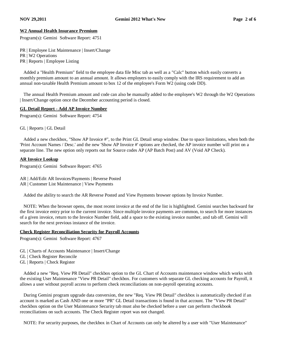# **W2 Annual Health Insurance Premium**

Program(s): Gemini Software Report: 4751

PR | Employee List Maintenance | Insert/Change PR | W2 Operations PR | Reports | Employee Listing

 Added a "Health Premium" field to the employee data file Misc tab as well as a "Calc" button which easily converts a monthly premium amount to an annual amount. It allows employers to easily comply with the IRS requirement to add an annual non-taxable Health Premium amount to box 12 of the employee's Form W2 (using code DD).

 The annual Health Premium amount and code can also be manually added to the employee's W2 through the W2 Operations | Insert/Change option once the December accounting period is closed.

#### **GL Detail Report - Add AP Invoice Number**

Program(s): Gemini Software Report: 4754

GL | Reports | GL Detail

 Added a new checkbox, "Show AP Invoice #", to the Print GL Detail setup window. Due to space limitations, when both the 'Print Account Names / Desc.' and the new 'Show AP Invoice #' options are checked, the AP invoice number will print on a separate line. The new option only reports out for Source codes AP (AP Batch Post) and AV (Void AP Check).

#### **AR Invoice Lookup**

Program(s): Gemini Software Report: 4765

AR | Add/Edit AR Invoices/Payments | Reverse Posted AR | Customer List Maintenance | View Payments

Added the ability to search the AR Reverse Posted and View Payments browser options by Invoice Number.

 NOTE: When the browser opens, the most recent invoice at the end of the list is highlighted. Gemini searches backward for the first invoice entry prior to the current invoice. Since multiple invoice payments are common, to search for more instances of a given invoice, return to the Invoice Number field, add a space to the existing invoice number, and tab off. Gemini will search for the next previous instance of the invoice.

#### **Check Register Reconciliation Security for Payroll Accounts**

Program(s): Gemini Software Report: 4767

- GL | Charts of Accounts Maintenance | Insert/Change
- GL | Check Register Reconcile
- GL | Reports | Check Register

 Added a new "Req. View PR Detail" checkbox option to the GL Chart of Accounts maintenance window which works with the existing User Maintenance "View PR Detail" checkbox. For customers with separate GL checking accounts for Payroll, it allows a user without payroll access to perform check reconciliations on non-payroll operating accounts.

 During Gemini program upgrade data conversion, the new "Req. View PR Detail" checkbox is automatically checked if an account is marked as Cash AND one or more "PR" GL Detail transactions is found in that account. The "View PR Detail" checkbox option on the User Maintenance Security tab must also be checked before a user can perform checkbook reconciliations on such accounts. The Check Register report was not changed.

NOTE: For security purposes, the checkbox in Chart of Accounts can only be altered by a user with "User Maintenance"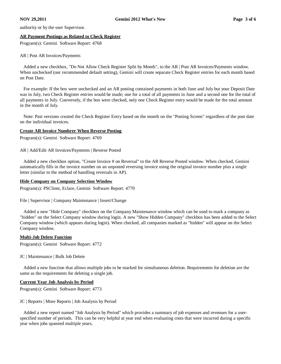authority or by the user Supervisor.

#### **AR Payment Postings as Related to Check Register**

Program(s): Gemini Software Report: 4768

#### AR | Post AR Invoices/Payments

 Added a new checkbox, "Do Not Allow Check Register Split by Month", to the AR | Post AR Invoices/Payments window. When unchecked (our recommended default setting), Gemini will create separate Check Register entries for each month based on Post Date.

 For example: If the box were unchecked and an AR posting contained payments in both June and July but your Deposit Date was in July, two Check Register entries would be made; one for a total of all payments in June and a second one for the total of all payments in July. Conversely, if the box were checked, only one Check Register entry would be made for the total amount in the month of July.

 Note: Past versions created the Check Register Entry based on the month on the "Posting Screen" regardless of the post date on the individual invoices.

#### **Create AR Invoice Numbrer When Reverse Posting**

Program(s): Gemini Software Report: 4769

AR | Add/Edit AR Invoices/Payments | Reverse Posted

 Added a new checkbox option, "Create Invoice # on Reversal" to the AR Reverse Posted window. When checked, Gemini automatically fills in the invoice number on an unposted reversing invoice using the original invoice number plus a single letter (similar to the method of handling reversals in AP).

#### **Hide Company on Company Selection Window**

Program(s): PSClient, Eclare, Gemini Software Report: 4770

File | Supervisor | Company Maintenance | Insert/Change

 Added a new "Hide Company" checkbox on the Company Maintenance window which can be used to mark a company as "hidden" on the Select Company window during login. A new "Show Hidden Company" checkbox has been added to the Select Company window (which appears during login). When checked, all companies marked as "hidden" will appear on the Select Company window.

# **Multi-Job Delete Function**

Program(s): Gemini Software Report: 4772

JC | Maintenance | Bulk Job Delete

 Added a new function that allows multiple jobs to be marked for simultaneous deletion. Requirements for deletion are the same as the requirements for deleting a single job.

# **Current Year Job Analysis by Period**

Program(s): Gemini Software Report: 4773

JC | Reports | More Reports | Job Analysis by Period

 Added a new report named "Job Analysis by Period" which provides a summary of job expenses and revenues for a userspecified number of periods. This can be very helpful at year end when evaluating costs that were incurred during a specific year when jobs spanned multiple years.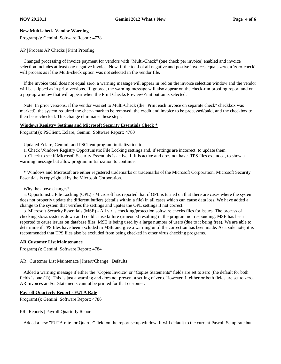# **New Multi-check Vendor Warning**

Program(s): Gemini Software Report: 4778

AP | Process AP Checks | Print Proofing

 Changed processing of invoice payment for vendors with "Multi-Check" (one check per invoice) enabled and invoice selection includes at least one negative invoice. Now, if the total of all negative and postive invoices equals zero, a 'zero-check' will process as if the Multi-check option was not selected in the vendor file.

 If the invoice total does not equal zero, a warning message will appear in red on the invoice selection window and the vendor will be skipped as in prior versions. If ignored, the warning message will also appear on the check-run proofing report and on a pop-up window that will appear when the Print Checks Preview/Print button is selected.

 Note: In prior versions, if the vendor was set to Multi-Check (the "Print each invoice on separate check" checkbox was marked), the system required the check-mark to be removed, the credit and invoice to be processed/paid, and the checkbox to then be re-checked. This change eliminates these steps.

#### **Windows Registry Settings and Microsoft Security Essentials Check \***

Program(s): PSClient, Eclare, Gemini Software Report: 4780

Updated Eclare, Gemini, and PSClient program initialization to:

a. Check Windows Registry Opportunistic File Locking settings and, if settings are incorrect, to update them.

 b. Check to see if Microsoft Security Essentials is active. If it is active and does not have .TPS files excluded, to show a warning message but allow program initialization to continue.

 \* Windows and Microsoft are either registered trademarks or trademarks of the Microsoft Corporation. Microsoft Security Essentials is copyrighted by the Microsoft Corporation.

Why the above changes?

 a. Opportunistic File Locking (OPL) - Microsoft has reported that if OPL is turned on that there are cases where the system does not properly update the different buffers (details within a file) in all cases which can cause data loss. We have added a change to the system that verifies the settings and upates the OPL settings if not correct.

 b. Microsoft Security Essentials (MSE) - All virus checking/protection software checks files for issues. The process of checking slows systems down and could cause failure (timeouts) resulting in the program not responding. MSE has been reported to cause issues on database files. MSE is being used by a large number of users (due to it being free). We are able to determine if TPS files have been excluded in MSE and give a warning until the correction has been made. As a side note, it is recommended that TPS files also be excluded from being checked in other virus checking programs.

# **AR Customer List Maintenance**

Program(s): Gemini Software Report: 4784

AR | Customer List Maintenace | Insert/Change | Defaults

 Added a warning message if either the "Copies Invoice" or "Copies Statements" fields are set to zero (the default for both fields is one (1)). This is just a warning and does not prevent a setting of zero. However, if either or both fields are set to zero, AR Invoices and/or Statements cannot be printed for that customer.

# **Payroll Quarterly Report - FUTA Rate**

Program(s): Gemini Software Report: 4786

PR | Reports | Payroll Quarterly Report

Added a new "FUTA rate for Quarter" field on the report setup window. It will default to the current Payroll Setup rate but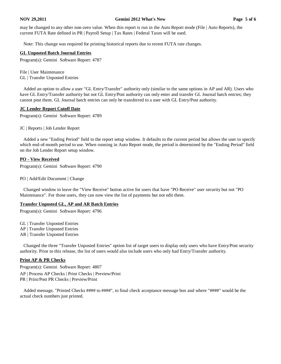#### **NOV 29,2011 Gemini 2012 What's New Page 5 of 6**

may be changed to any other non-zero value. When this report is run in the Auto Report mode (File | Auto Reports), the current FUTA Rate defined in PR | Payroll Setup | Tax Rates | Federal Taxes will be used.

Note: This change was required for printing historical reports due to recent FUTA rate changes.

# **GL Unposted Batch Journal Entries**

Program(s): Gemini Software Report: 4787

File | User Maintenance GL | Transfer Unposted Entries

 Added an option to allow a user "GL Entry/Transfer" authority only (similar to the same options in AP and AR). Users who have GL Entry/Transfer authority but not GL Entry/Post authority can only enter and transfer GL Journal batch entries; they cannot post them. GL Journal batch entries can only be transferred to a user with GL Entry/Post authority.

# **JC Lender Report Cutoff Date**

Program(s): Gemini Software Report: 4789

JC | Reports | Job Lender Report

 Added a new "Ending Period" field to the report setup window. It defaults to the current period but allows the user to specify which end-of-month period to use. When running in Auto Report mode, the period is determined by the "Ending Period" field on the Job Lender Report setup window.

# **PO - View Received**

Program(s): Gemini Software Report: 4790

PO | Add/Edit Document | Change

 Changed window to leave the "View Receive" button active for users that have "PO Receive" user security but not "PO Maintenance". For those users, they can now view the list of payments but not edit them.

# **Transfer Unposted GL, AP and AR Batch Entries**

Program(s): Gemini Software Report: 4796

GL | Transfer Unposted Entries

- AP | Transfer Unposted Entries
- AR | Transfer Unposted Entries

 Changed the three "Transfer Unposted Entries" option list of target users to display only users who have Entry/Post security authority. Prior to this release, the list of users would also include users who only had Entry/Transfer authority.

# **Print AP & PR Checks**

Program(s): Gemini Software Report: 4807

- AP | Process AP Checks | Print Checks | Preview/Print
- PR | Print/Post PR Checks | Preview/Print

 Added message, "Printed Checks #### to ####", to final check acceptance message box and where "####" would be the actual check numbers just printed.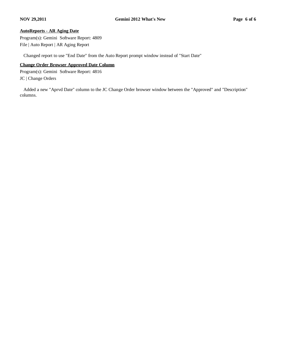# **AutoReports - AR Aging Date**

Program(s): Gemini Software Report: 4809 File | Auto Report | AR Aging Report

Changed report to use "End Date" from the Auto Report prompt window instead of "Start Date"

# **Change Order Browser Approved Date Column**

Program(s): Gemini Software Report: 4816 JC | Change Orders

 Added a new "Aprvd Date" column to the JC Change Order browser window between the "Approved" and "Description" columns.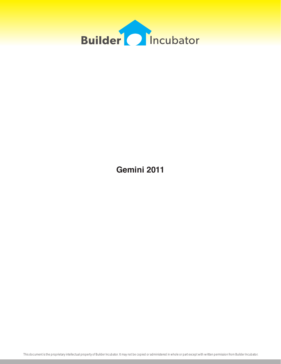

**Gemini 2011**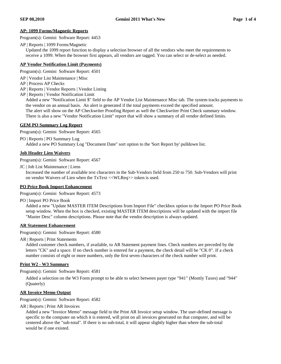#### **AP: 1099 Forms/Magnetic Reports**

Program(s): Gemini Software Report: 4453

AP | Reports | 1099 Forms/Magnetic

 Updated the 1099 report function to display a selection browser of all the vendors who meet the requirements to receive a 1099. When the browser first appears, all vendors are tagged. You can select or de-select as needed.

#### **AP Vendor Notification Limit (Payments)**

Program(s): Gemini Software Report: 4501

- AP | Vendor List Maintenance | Misc
- AP | Process AP Checks
- AP | Reports | Vendor Reports | Vendor Listing
- AP | Reports | Vendor Notification Limit

 Added a new "Notification Limit \$" field to the AP Vendor List Maintenance Misc tab. The system tracks payments to the vendor on an annual basis. An alert is generated if the total payments exceed the specified amount. The alert will show on the AP Checkwriter Proofing Report as well the Checkwriter Print Check summary window. There is also a new "Vendor Notification Limit" report that will show a summary of all vendor defined limits.

#### **GEM PO Summary Log Report**

Program(s): Gemini Software Report: 4565

PO | Reports | PO Summary Log

Added a new PO Summary Log "Document Date" sort option to the 'Sort Report by' pulldown list.

# **Job Header Lien Waivers**

Program(s): Gemini Software Report: 4567

JC | Job List Maintenance | Liens

 Increased the number of available text characters in the Sub-Vendors field from 250 to 750. Sub-Vendors will print on vendor Waivers of Lien when the TxText <<WLReq>> token is used.

# **PO Price Book Import Enhancement**

Program(s): Gemini Software Report: 4573

PO | Import PO Price Book

 Added a new "Update MASTER ITEM Descriptions from Import File" checkbox option to the Import PO Price Book setup window. When the box is checked, existing MASTER ITEM descriptions will be updated with the import file "Master Desc" column descriptions. Please note that the vendor description is always updated.

# **AR Statement Enhancement**

Program(s): Gemini Software Report: 4580

AR | Reports | Print Statements

 Added customer check numbers, if available, to AR Statement payment lines. Check numbers are preceded by the letters "CK" and a space. If no check number is entered for a payment, the check detail will be "CK 0". If a check number consists of eight or more numbers, only the first seven characters of the check number will print.

# **Print W2 - W3 Summary**

Program(s): Gemini Software Report: 4581

 Added a selection on the W3 Form prompt to be able to select between payer type "941" (Montly Taxes) and "944" (Quaterly)

#### **AR Invoice Memo Output**

Program(s): Gemini Software Report: 4582

AR | Reports | Print AR Invoices

 Added a new "Invoice Memo" message field to the Print AR Invoice setup window. The user-defined message is specific to the computer on which it is entered, will print on all invoices generated on that computer, and will be centered above the "sub-total". If there is no sub-total, it will appear slightly higher than where the sub-total would be if one existed.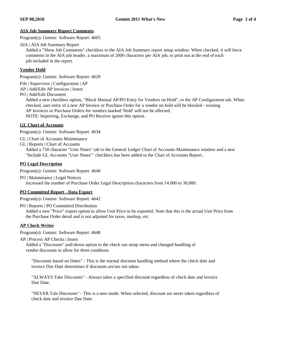# **AIA Job Summary Report Comments**

Program(s): Gemini Software Report: 4605

AIA | AIA Job Summary Report

 Added a "Show Job Comments" checkbox to the AIA Job Summary report setup window. When checked, it will force comments in the AIA job header, a maximum of 2000 characters per AIA job, to print out at the end of each job included in the report.

# **Vendor Hold**

Program(s): Gemini Software Report: 4628

- File | Supervisor | Configuration | AP
- AP | Add/Edit AP Invoices | Insert
- PO | Add/Edit Document

 Added a new checkbox option, "Block Manual AP/PO Entry for Vendors on Hold", to the AP Configuration tab. When checked, user entry of a new AP Invoice or Purchase Order for a vendor on hold will be blocked - existing AP Invoices or Purchase Orders for vendors marked 'Hold' will not be affected. NOTE: Importing, Exchange, and PO Receive ignore this option.

# **GL Chart of Accounts**

Program(s): Gemini Software Report: 4634

GL | Chart of Accounts Maintenance

GL | Reports | Chart of Accounts

 Added a 750 character "User Notes" tab to the General Ledger Chart of Accounts Maintenance window and a new "Include GL Accounts "User Notes"" checkbox has been added to the Chart of Accounts Report..

#### **PO Legal Description**

Program(s): Gemini Software Report: 4640

PO | Maintenance | Legal Notices Increased the number of Purchase Order Legal Description characters from 14,000 to 30,000.

# **PO Committed Report - Data Export**

Program(s): Gemini Software Report: 4642

PO | Reports | PO Committed Distribution

 Added a new "Price" export option to allow Unit Price to be exported. Note that this is the actual Unit Price from the Purchase Order detail and is not adjusted for taxes, markup, etc.

# **AP Check Writer**

Program(s): Gemini Software Report: 4648

AP | Process AP Checks | Insert

 Added a "Discounts" pull-down option to the check run setup menu and changed handling of vendor discounts to allow for three condtions.

 "Discounts based on Dates" - This is the normal discount handling method where the check date and invoice Due Date determines if discounts are/are not taken.

 "ALWAYS Take Discounts" - Always takes a specified discount regardless of check date and invoice Due Date.

 "NEVER Tale Discounts" - This is a new mode. When selected, discount are never taken regardless of check date and invoice Due Date.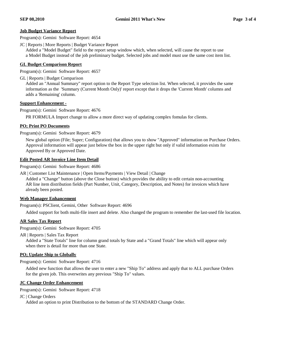#### **Job Budget Variance Report**

Program(s): Gemini Software Report: 4654

JC | Reports | More Reports | Budget Variance Report

 Added a "Model Budget" field to the report setup window which, when selected, will cause the report to use a Model Budget instead of the job preliminary budget. Selected jobs and model must use the same cost item list.

#### **GL Budget Comparison Report**

Program(s): Gemini Software Report: 4657

GL | Reports | Budget Comparison

 Added an "Annual Summary" report option to the Report Type selection list. When selected, it provides the same information as the 'Summary (Current Month Only)' report except that it drops the 'Current Month' columns and adds a 'Remaining' column.

#### **Support Enhancement -**

Program(s): Gemini Software Report: 4676

PR FORMULA Import change to allow a more direct way of updating complex fomulas for clients.

#### **PO; Print PO Documents**

Program(s): Gemini Software Report: 4679

 New global option (File; Super; Configuration) that allows you to show "Approved" information on Purchase Orders. Approval information will appear just below the box in the upper right but only if valid information exists for Approved By or Approved Date.

# **Edit Posted AR Invoice Line Item Detail**

Program(s): Gemini Software Report: 4686

AR | Customer List Maintenance | Open Items/Payments | View Detail | Change

 Added a "Change" button (above the Close button) which provides the ability to edit certain non-accounting AR line item distribution fields (Part Number, Unit, Category, Description, and Notes) for invoices which have already been posted.

# **Web Manager Enhancement**

Program(s): PSClient, Gemini, Other Software Report: 4696

Added support for both multi-file insert and delete. Also changed the program to remember the last-used file location.

# **AR Sales Tax Report**

Program(s): Gemini Software Report: 4705

AR | Reports | Sales Tax Report

 Added a "State Totals" line for column grand totals by State and a "Grand Totals" line which will appear only when there is detail for more than one State.

#### **PO; Update Ship to Globally**

Program(s): Gemini Software Report: 4716

 Added new function that allows the user to enter a new "Ship To" address and apply that to ALL purchase Orders for the given job. This overwrites any previous "Ship To" values.

# **JC Change Order Enhancement**

Program(s): Gemini Software Report: 4718

JC | Change Orders

Added an option to print Distribution to the bottom of the STANDARD Change Order.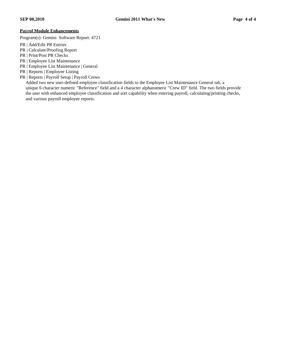# **Payrol Module Enhancements**

Program(s): Gemini Software Report: 4721

- PR | Add/Edit PR Entries
- PR | Calculate/Proofing Report
- PR | Print/Post PR Checks
- PR | Employee List Maintenance
- PR | Employee List Maintenance | General
- PR | Reports | Employee Listing
- PR | Reports | Payroll Setup | Payroll Crews

 Added two new user-defined employee classification fields to the Employee List Maintenance General tab, a unique 6 character numeric "Reference" field and a 4 character alphanumeric "Crew ID" field. The two fields provide the user with enhanced employee classification and sort capability when entering payroll, calculating/printing checks, and various payroll employee reports.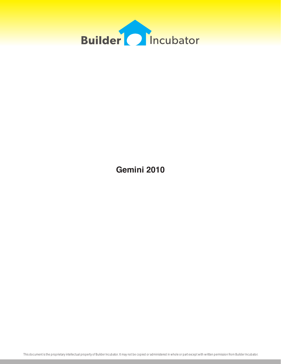

**Gemini 2010**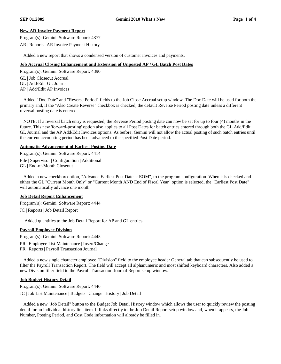# **New AR Invoice Payment Report**

Program(s): Gemini Software Report: 4377

AR | Reports | AR Invoice Payment History

Added a new report that shows a condensed version of customer invoices and payments.

#### **Job Accrual Closing Enhancement and Extension of Unposted AP / GL Batch Post Dates**

Program(s): Gemini Software Report: 4390

GL | Job Closeout Accrual

GL | Add/Edit GL Journal

AP | Add/Edit AP Invoices

 Added "Doc Date" and "Reverse Period" fields to the Job Close Accrual setup window. The Doc Date will be used for both the primary and, if the "Also Create Reverse" checkbox is checked, the default Reverse Period posting date unless a different reversal posting date is entered.

 NOTE: If a reversal batch entry is requested, the Reverse Period posting date can now be set for up to four (4) months in the future. This new 'forward-posting' option also applies to all Post Dates for batch entries entered through both the GL Add/Edit GL Journal and the AP Add/Edit Invoices options. As before, Gemini will not allow the actual posting of such batch entries until the current accounting period has been advanced to the specified Post Date period.

#### **Automatic Advancement of Earliest Posting Date**

Program(s): Gemini Software Report: 4414 File | Supervisor | Configuration | Additional GL | End-of-Month Closeout

 Added a new checkbox option, "Advance Earliest Post Date at EOM", to the program configuration. When it is checked and either the GL "Current Month Only" or "Current Month AND End of Fiscal Year" option is selected, the "Earliest Post Date" will automatically advance one month.

# **Job Detail Report Enhancement**

Program(s): Gemini Software Report: 4444 JC | Reports | Job Detail Report

Added quantities to the Job Detail Report for AP and GL entries.

# **Payroll Employee Division**

Program(s): Gemini Software Report: 4445

PR | Employee List Maintenance | Insert/Change

PR | Reports | Payroll Transaction Journal

 Added a new single character employee "Division" field to the employee header General tab that can subsequently be used to filter the Payroll Transaction Report. The field will accept all alphanumeric and most shifted keyboard characters. Also added a new Division filter field to the Payroll Transaction Journal Report setup window.

# **Job Budget History Detail**

Program(s): Gemini Software Report: 4446

JC | Job List Maintenance | Budgets | Change | History | Job Detail

 Added a new "Job Detail" button to the Budget Job Detail History window which allows the user to quickly review the posting detail for an individual history line item. It links directly to the Job Detail Report setup window and, when it appears, the Job Number, Posting Period, and Cost Code information will already be filled in.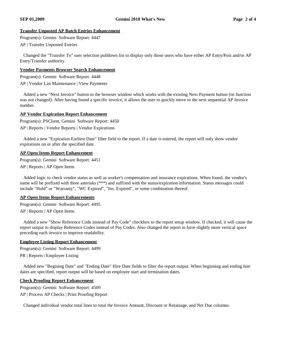# **Transfer Unposted AP Batch Entries Enhancement**

Program(s): Gemini Software Report: 4447

AP | Transfer Unposted Entries

 Changed the "Transfer To" user selection pulldown list to display only those users who have either AP Entry/Post and/or AP Entry/Transfer authority.

# **Vendor Payments Browser Search Enhancement**

Program(s): Gemini Software Report: 4448 AP | Vendor List Maintenance | View Payments

 Added a new "Next Invoice" button to the browser window which works with the existing Next Payment button (its function was not changed). After having found a specific invoice, it allows the user to quickly move to the next sequential AP Invoice number.

# **AP Vendor Expiration Report Enhancement**

Program(s): PSClient, Gemini Software Report: 4450

AP | Reports | Vendor Reports | Vendor Expirations

 Added a new "Expiration Earliest Date" filter field to the report. If a date is entered, the report will only show vendor expirations on or after the specified date.

# **AP Open Items Report Enhancement**

Program(s): Gemini Software Report: 4451

AP | Reports | AP Open Items

 Added logic to check vendor status as well as worker's compensation and insurance expirations. When found, the vendor's name will be prefixed with three asterisks (\*\*\*) and suffixed with the status/expiration information. Status messages could include "Hold" or "Warranty", "WC Expired", "Ins. Expired", or some combination thereof.

# **AP Open Items Report Enhancements**

Program(s): Gemini Software Report: 4495

AP | Reports | AP Open Items

 Added a new "Show Reference Code instead of Pay Code" checkbox to the report setup window. If checked, it will cause the report output to display Reference Codes instead of Pay Codes. Also changed the report to have slightly more vertical space preceding each invoice to improve readability.

# **Employee Listing Report Enhancement**

Program(s): Gemini Software Report: 4499

PR | Reports | Employee Listing

 Added new "Begining Date" and "Ending Date" Hire Date fields to filter the report output. When beginning and ending hire dates are specified, report output will be based on employee start and termination dates.

# **Check Proofing Report Enhancement**

Program(s): Gemini Software Report: 4509

AP | Process AP Checks | Print Proofing Report

Changed individual vendor total lines to total the Invoice Amount, Discount or Retainage, and Net Due columns.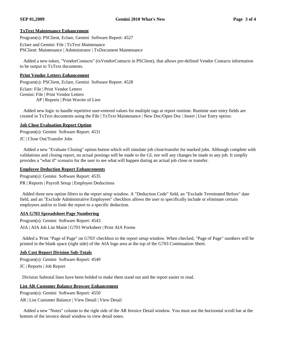# **TxText Maintenance Enhancement**

Program(s): PSClient, Eclare, Gemini Software Report: 4527

Eclare and Gemini: File | TxText Maintenance PSClient: Maintenance | Administrator | TxDocument Maintenance

 Added a new token, "VendorContacts" (txVendorContacts in PSClient), that allows pre-defined Vendor Contacts information to be output to TxText documents.

#### **Print Vendor Letters Enhancement**

Program(s): PSClient, Eclare, Gemini Software Report: 4528

Eclare: File | Print Vendor Letters

Gemini: File | Print Vendor Letters

AP | Reports | Print Wavier of Lien

 Added new logic to handle repetitive user-entered values for multiple tags at report runtime. Runtime user entry fields are created in TxText documents using the File | TxText Maintenance | New Doc/Open Doc | Insert | User Entry option.

# **Job Close Evaluation Report Option**

Program(s): Gemini Software Report: 4531 JC | Close Out/Transfer Jobs

 Added a new "Evaluate Closing" option button which will simulate job close/transfer for marked jobs. Although complete with validations and closing report, no actual postings will be made to the GL nor will any changes be made to any job. It simplly provides a "what if" scenario for the user to see what will happen during an actual job close or transfer.

# **Employee Deduction Report Enhancements**

Program(s): Gemini Software Report: 4535

PR | Reports | Payroll Setup | Employee Deductions

 Added three new option filters to the report setup window. A "Deduction Code" field, an "Exclude Terminated Before" date field, and an "Exclude Administrative Employees" checkbox allows the user to specifically include or eliminate certain employees and/or to limit the report to a specific deduction.

# **AIA G703 Spreadsheet Page Numbering**

Program(s): Gemini Software Report: 4543 AIA | AIA Job List Maint | G703 Worksheet | Print AIA Forms

 Added a 'Print "Page of Page" on G703' checkbox to the report setup window. When checked, "Page of Page" numbers will be printed in the blank space (right side) of the AIA logo area at the top of the G703 Continuation Sheet.

# **Job Cost Report Division Sub-Totals**

Program(s): Gemini Software Report: 4549 JC | Reports | Job Report

Division Subtotal lines have been bolded to make them stand out and the report easier to read.

# **List AR Customer Balance Browser Enhancement**

Program(s): Gemini Software Report: 4550 AR | List Customer Balance | View Detail | View Detail

 Added a new "Notes" column to the right side of the AR Invoice Detail window. You must use the horizontal scroll bar at the bottom of the invoice detail window to view detail notes.